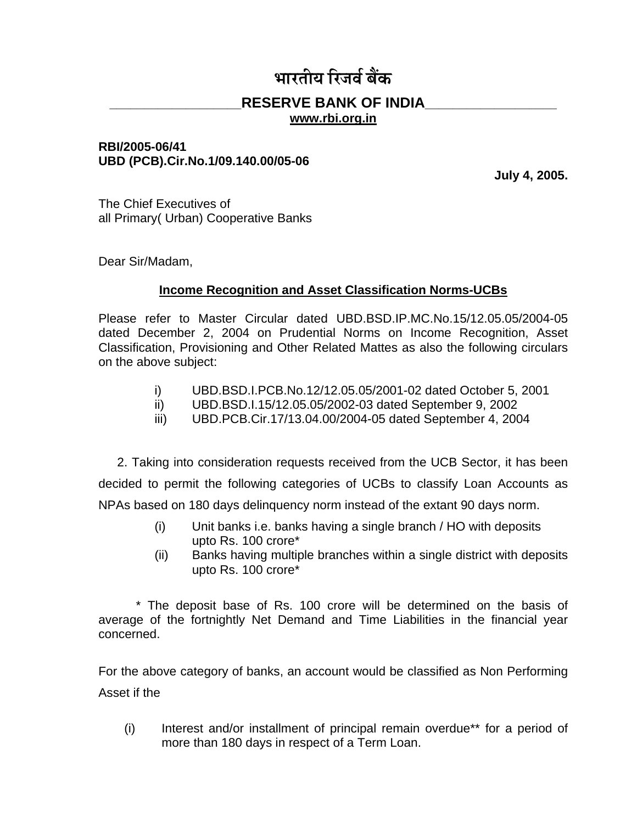# **ž¸¸£÷¸ú¡¸ ¢£¸¨¸Ä ¤¸ÿˆÅ**

## **\_\_\_\_\_\_\_\_\_\_\_\_\_\_\_\_\_\_\_RESERVE BANK OF INDIA\_\_\_\_\_\_\_\_\_\_\_\_\_\_\_\_\_\_\_**

**www.rbi.org.in**

#### **RBI/2005-06/41 UBD (PCB).Cir.No.1/09.140.00/05-06**

**July 4, 2005.**

The Chief Executives of all Primary( Urban) Cooperative Banks

Dear Sir/Madam,

## **Income Recognition and Asset Classification Norms-UCBs**

Please refer to Master Circular dated UBD.BSD.IP.MC.No.15/12.05.05/2004-05 dated December 2, 2004 on Prudential Norms on Income Recognition, Asset Classification, Provisioning and Other Related Mattes as also the following circulars on the above subject:

- i) UBD.BSD.I.PCB.No.12/12.05.05/2001-02 dated October 5, 2001
- ii) UBD.BSD.I.15/12.05.05/2002-03 dated September 9, 2002
- iii) UBD.PCB.Cir.17/13.04.00/2004-05 dated September 4, 2004

2. Taking into consideration requests received from the UCB Sector, it has been decided to permit the following categories of UCBs to classify Loan Accounts as NPAs based on 180 days delinquency norm instead of the extant 90 days norm.

- (i) Unit banks i.e. banks having a single branch / HO with deposits upto Rs. 100 crore\*
- (ii) Banks having multiple branches within a single district with deposits upto Rs. 100 crore\*

\* The deposit base of Rs. 100 crore will be determined on the basis of average of the fortnightly Net Demand and Time Liabilities in the financial year concerned.

For the above category of banks, an account would be classified as Non Performing Asset if the

(i) Interest and/or installment of principal remain overdue\*\* for a period of more than 180 days in respect of a Term Loan.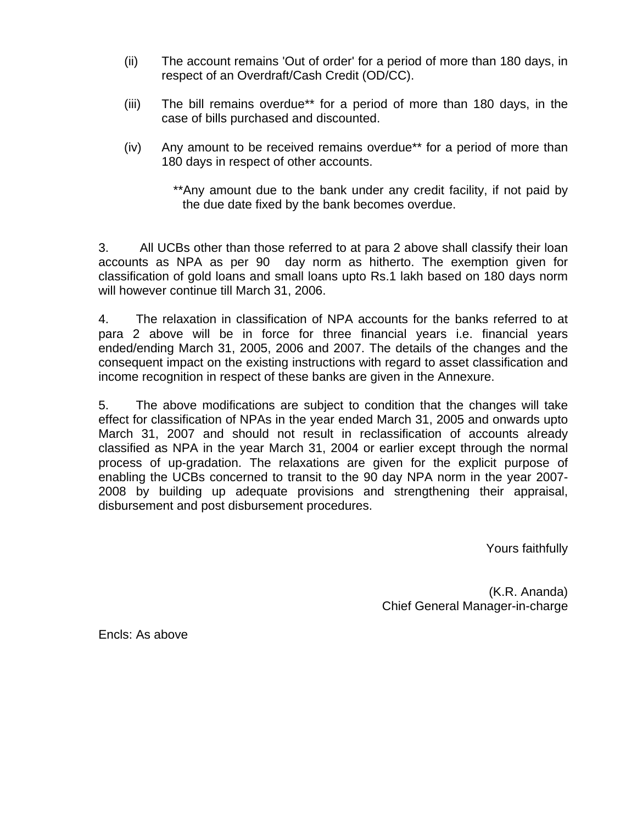- (ii) The account remains 'Out of order' for a period of more than 180 days, in respect of an Overdraft/Cash Credit (OD/CC).
- (iii) The bill remains overdue\*\* for a period of more than 180 days, in the case of bills purchased and discounted.
- (iv) Any amount to be received remains overdue\*\* for a period of more than 180 days in respect of other accounts.

\*\*Any amount due to the bank under any credit facility, if not paid by the due date fixed by the bank becomes overdue.

3. All UCBs other than those referred to at para 2 above shall classify their loan accounts as NPA as per 90 day norm as hitherto. The exemption given for classification of gold loans and small loans upto Rs.1 lakh based on 180 days norm will however continue till March 31, 2006.

4. The relaxation in classification of NPA accounts for the banks referred to at para 2 above will be in force for three financial years i.e. financial years ended/ending March 31, 2005, 2006 and 2007. The details of the changes and the consequent impact on the existing instructions with regard to asset classification and income recognition in respect of these banks are given in the Annexure.

5. The above modifications are subject to condition that the changes will take effect for classification of NPAs in the year ended March 31, 2005 and onwards upto March 31, 2007 and should not result in reclassification of accounts already classified as NPA in the year March 31, 2004 or earlier except through the normal process of up-gradation. The relaxations are given for the explicit purpose of enabling the UCBs concerned to transit to the 90 day NPA norm in the year 2007- 2008 by building up adequate provisions and strengthening their appraisal, disbursement and post disbursement procedures.

Yours faithfully

(K.R. Ananda) Chief General Manager-in-charge

Encls: As above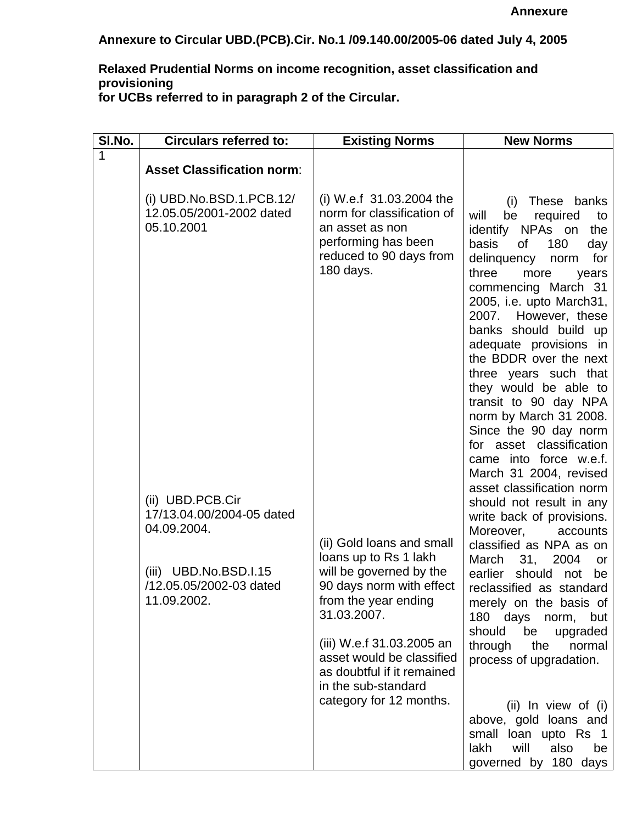**Annexure to Circular UBD.(PCB).Cir. No.1 /09.140.00/2005-06 dated July 4, 2005**

# **Relaxed Prudential Norms on income recognition, asset classification and provisioning**

**for UCBs referred to in paragraph 2 of the Circular.**

| SI.No. | <b>Circulars referred to:</b>                                        | <b>Existing Norms</b>                                                                                                                                                         | <b>New Norms</b>                                                                                                                                                                                                                                                                                                                                                                                                                                                                                                                         |  |  |
|--------|----------------------------------------------------------------------|-------------------------------------------------------------------------------------------------------------------------------------------------------------------------------|------------------------------------------------------------------------------------------------------------------------------------------------------------------------------------------------------------------------------------------------------------------------------------------------------------------------------------------------------------------------------------------------------------------------------------------------------------------------------------------------------------------------------------------|--|--|
| 1      | <b>Asset Classification norm:</b>                                    |                                                                                                                                                                               |                                                                                                                                                                                                                                                                                                                                                                                                                                                                                                                                          |  |  |
|        | $(i)$ UBD.No.BSD.1.PCB.12/<br>12.05.05/2001-2002 dated<br>05.10.2001 | (i) W.e.f 31.03.2004 the<br>norm for classification of<br>an asset as non<br>performing has been<br>reduced to 90 days from<br>180 days.                                      | These banks<br>(i)<br>will<br>be<br>required<br>to<br>identify NPAs on<br>the<br>of<br>basis<br>180<br>day<br>for<br>delinquency<br>norm<br>three<br>more<br>years<br>commencing March 31<br>2005, i.e. upto March31,<br>2007. However, these<br>banks should build up<br>adequate provisions in<br>the BDDR over the next<br>three years such that<br>they would be able to<br>transit to 90 day NPA<br>norm by March 31 2008.<br>Since the 90 day norm<br>for asset classification<br>came into force w.e.f.<br>March 31 2004, revised |  |  |
|        | (ii) UBD.PCB.Cir<br>17/13.04.00/2004-05 dated<br>04.09.2004.         |                                                                                                                                                                               | asset classification norm<br>should not result in any<br>write back of provisions.<br>Moreover,<br>accounts                                                                                                                                                                                                                                                                                                                                                                                                                              |  |  |
|        | (iii) UBD.No.BSD.I.15<br>/12.05.05/2002-03 dated<br>11.09.2002.      | (ii) Gold loans and small<br>loans up to Rs 1 lakh<br>will be governed by the<br>90 days norm with effect<br>from the year ending<br>31.03.2007.<br>(iii) W.e.f 31.03.2005 an | classified as NPA as on<br>March<br>31,<br>2004<br>or<br>earlier should not<br>be<br>reclassified as standard<br>merely on the basis of<br>180 days norm, but<br>should<br>be<br>upgraded                                                                                                                                                                                                                                                                                                                                                |  |  |
|        |                                                                      | asset would be classified<br>as doubtful if it remained<br>in the sub-standard                                                                                                | through<br>the<br>normal<br>process of upgradation.                                                                                                                                                                                                                                                                                                                                                                                                                                                                                      |  |  |
|        |                                                                      | category for 12 months.                                                                                                                                                       | (ii) In view of (i)<br>above, gold loans and<br>small loan upto Rs 1<br>will<br>also<br>lakh<br>be<br>governed by 180 days                                                                                                                                                                                                                                                                                                                                                                                                               |  |  |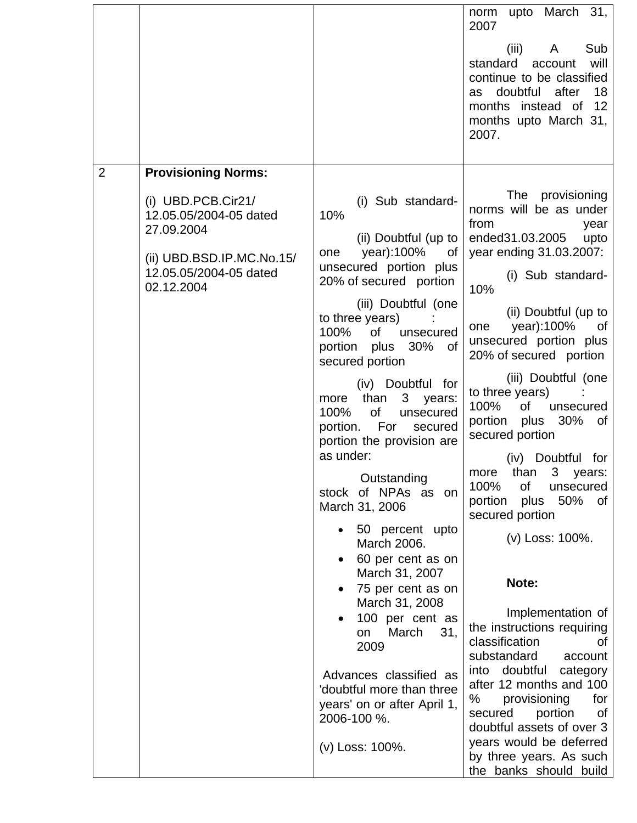|   |                                                                                                                                   |                                                                                                                                                        | norm upto March 31,<br>2007<br>Sub<br>(iii)<br>$A \quad \Box$<br>standard<br>will<br>account<br>continue to be classified<br>doubtful after<br>18<br>as<br>months instead of<br>12<br>months upto March 31,<br>2007. |
|---|-----------------------------------------------------------------------------------------------------------------------------------|--------------------------------------------------------------------------------------------------------------------------------------------------------|----------------------------------------------------------------------------------------------------------------------------------------------------------------------------------------------------------------------|
| 2 | <b>Provisioning Norms:</b>                                                                                                        |                                                                                                                                                        |                                                                                                                                                                                                                      |
|   | $(i)$ UBD.PCB.Cir21/<br>12.05.05/2004-05 dated<br>27.09.2004<br>(ii) UBD.BSD.IP.MC.No.15/<br>12.05.05/2004-05 dated<br>02.12.2004 | (i) Sub standard-<br>10%<br>(ii) Doubtful (up to<br>year):100%<br>0f<br>one<br>unsecured portion plus<br>20% of secured portion<br>(iii) Doubtful (one | The provisioning<br>norms will be as under<br>from<br>year<br>ended31.03.2005<br>upto<br>year ending 31.03.2007:<br>(i) Sub standard-<br>10%                                                                         |
|   |                                                                                                                                   | to three years)<br>100%<br>0f<br>unsecured<br>portion plus 30% of<br>secured portion                                                                   | (ii) Doubtful (up to<br>year):100%<br>one<br>of<br>unsecured portion plus<br>20% of secured portion                                                                                                                  |
|   |                                                                                                                                   | (iv) Doubtful for<br>than<br>3 years:<br>more<br>100%<br>0f<br>unsecured<br>portion. For<br>secured<br>portion the provision are<br>as under:          | (iii) Doubtful (one<br>to three years)<br>100%<br>of<br>unsecured<br>portion plus 30%<br>of<br>secured portion<br>(iv) Doubtful for                                                                                  |
|   |                                                                                                                                   | Outstanding<br>stock of NPAs as on<br>March 31, 2006                                                                                                   | than 3 years:<br>more<br>100%<br>οf<br>unsecured<br>50%<br>portion<br>plus<br>0f<br>secured portion                                                                                                                  |
|   |                                                                                                                                   | 50 percent upto<br>March 2006.<br>60 per cent as on                                                                                                    | (v) Loss: 100%.                                                                                                                                                                                                      |
|   |                                                                                                                                   | March 31, 2007<br>75 per cent as on                                                                                                                    | Note:                                                                                                                                                                                                                |
|   |                                                                                                                                   | March 31, 2008<br>100 per cent as<br>March<br>31,<br>on<br>2009                                                                                        | Implementation of<br>the instructions requiring<br>classification<br>οf<br>substandard<br>account                                                                                                                    |
|   |                                                                                                                                   | Advances classified as<br>'doubtful more than three<br>years' on or after April 1,<br>2006-100 %.                                                      | into doubtful<br>category<br>after 12 months and 100<br>%<br>provisioning<br>for<br>secured<br>portion<br>0f<br>doubtful assets of over 3                                                                            |
|   |                                                                                                                                   | (v) Loss: 100%.                                                                                                                                        | years would be deferred<br>by three years. As such<br>the banks should build                                                                                                                                         |